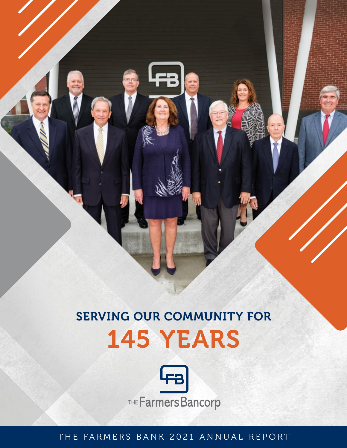# SERVING OUR COMMUNITY FOR 145 YEARS



THE FARMERS BANK 2021 ANNUAL REPORT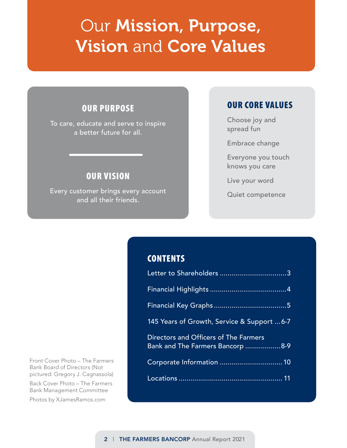# Our Mission, Purpose, Vision and Core Values

## OUR PURPOSE

To care, educate and serve to inspire a better future for all.

## OUR VISION

Every customer brings every account and all their friends.

### OUR CORE VALUES

Choose joy and spread fun

Embrace change

Everyone you touch knows you care

Live your word

Quiet competence

## **CONTENTS**

| 145 Years of Growth, Service & Support 6-7                                |
|---------------------------------------------------------------------------|
| Directors and Officers of The Farmers<br>Bank and The Farmers Bancorp 8-9 |
|                                                                           |
|                                                                           |

Front Cover Photo – The Farmers Bank Board of Directors (Not pictured: Gregory J. Cagnassola)

Back Cover Photo – The Farmers Bank Management Committee

Photos by XJamesRamos.com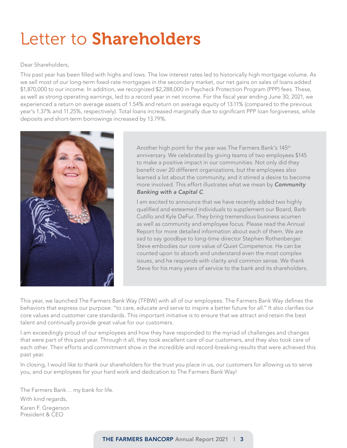# Letter to Shareholders

#### Dear Shareholders,

This past year has been filled with highs and lows. The low interest rates led to historically high mortgage volume. As we sell most of our long-term fixed-rate mortgages in the secondary market, our net gains on sales of loans added \$1,870,000 to our income. In addition, we recognized \$2,288,000 in Paycheck Protection Program (PPP) fees. These, as well as strong operating earnings, led to a record year in net income. For the fiscal year ending June 30, 2021, we experienced a return on average assets of 1.54% and return on average equity of 13.11% (compared to the previous year's 1.37% and 11.25%, respectively). Total loans increased marginally due to significant PPP loan forgiveness, while deposits and short-term borrowings increased by 13.79%.



Another high point for the year was The Farmers Bank's 145<sup>th</sup> anniversary. We celebrated by giving teams of two employees \$145 to make a positive impact in our communities. Not only did they benefit over 20 different organizations, but the employees also learned a lot about the community, and it stirred a desire to become more involved. This effort illustrates what we mean by *Community Banking with a Capital C*.

I am excited to announce that we have recently added two highly qualified and esteemed individuals to supplement our Board, Barb Cutillo and Kyle DeFur. They bring tremendous business acumen as well as community and employee focus. Please read the Annual Report for more detailed information about each of them. We are sad to say goodbye to long-time director Stephen Rothenberger. Steve embodies our core value of Quiet Competence. He can be counted upon to absorb and understand even the most complex issues, and he responds with clarity and common sense. We thank Steve for his many years of service to the bank and its shareholders.

This year, we launched The Farmers Bank Way (TFBW) with all of our employees. The Farmers Bank Way defines the behaviors that express our purpose: "to care, educate and serve to inspire a better future for all." It also clarifies our core values and customer care standards. This important initiative is to ensure that we attract and retain the best talent and continually provide great value for our customers.

I am exceedingly proud of our employees and how they have responded to the myriad of challenges and changes that were part of this past year. Through it all, they took excellent care of our customers, and they also took care of each other. Their efforts and commitment show in the incredible and record-breaking results that were achieved this past year.

In closing, I would like to thank our shareholders for the trust you place in us, our customers for allowing us to serve you, and our employees for your hard work and dedication to The Farmers Bank Way!

The Farmers Bank… my bank for life. With kind regards, Karen F. Gregerson President & CEO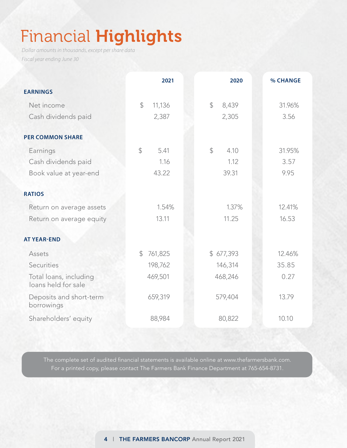# Financial Highlights

*Dollar amounts in thousands, except per share data Fiscal year ending June 30*

|                                               | 2021                    | 2020                  | % CHANGE |
|-----------------------------------------------|-------------------------|-----------------------|----------|
| <b>EARNINGS</b>                               |                         |                       |          |
| Net income                                    | $\mathcal{Z}$<br>11,136 | $\mathbb{S}$<br>8,439 | 31.96%   |
| Cash dividends paid                           | 2,387                   | 2,305                 | 3.56     |
| <b>PER COMMON SHARE</b>                       |                         |                       |          |
| Earnings                                      | $\mathcal{L}$<br>5.41   | $\mathcal{L}$<br>4.10 | 31.95%   |
| Cash dividends paid                           | 1.16                    | 1.12                  | 3.57     |
| Book value at year-end                        | 43.22                   | 39.31                 | 9.95     |
| <b>RATIOS</b>                                 |                         |                       |          |
| Return on average assets                      | 1.54%                   | 1.37%                 | 12.41%   |
| Return on average equity                      | 13.11                   | 11.25                 | 16.53    |
| <b>AT YEAR-END</b>                            |                         |                       |          |
| Assets                                        | 761,825<br>$\mathbb{S}$ | \$677,393             | 12.46%   |
| Securities                                    | 198,762                 | 146,314               | 35.85    |
| Total loans, including<br>loans held for sale | 469,501                 | 468,246               | 0.27     |
| Deposits and short-term<br>borrowings         | 659,319                 | 579,404               | 13.79    |
| Shareholders' equity                          | 88,984                  | 80,822                | 10.10    |

The complete set of audited financial statements is available online at www.thefarmersbank.com. For a printed copy, please contact The Farmers Bank Finance Department at 765-654-8731.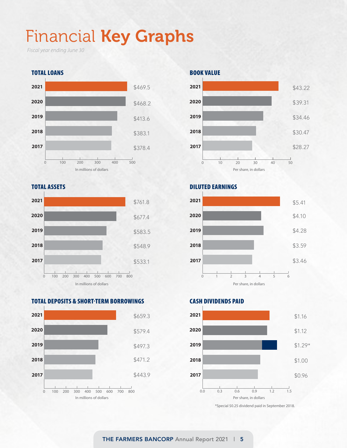# Financial Key Graphs

*Fiscal year ending June 30*



#### TOTAL ASSETS



### TOTAL DEPOSITS & SHORT-TERM BORROWINGS



#### BOOK VALUE



### DILUTED EARNINGS



### CASH DIVIDENDS PAID



\*Special \$0.25 dividend paid in September 2018.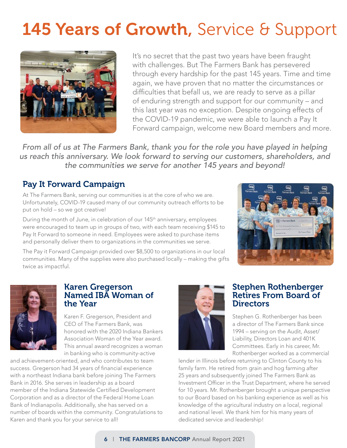# 145 Years of Growth, Service & Support



It's no secret that the past two years have been fraught with challenges. But The Farmers Bank has persevered through every hardship for the past 145 years. Time and time again, we have proven that no matter the circumstances or difficulties that befall us, we are ready to serve as a pillar of enduring strength and support for our community – and this last year was no exception. Despite ongoing effects of the COVID-19 pandemic, we were able to launch a Pay It Forward campaign, welcome new Board members and more.

*From all of us at The Farmers Bank, thank you for the role you have played in helping us reach this anniversary. We look forward to serving our customers, shareholders, and the communities we serve for another 145 years and beyond!* 

## Pay It Forward Campaign

At The Farmers Bank, serving our communities is at the core of who we are. Unfortunately, COVID-19 caused many of our community outreach efforts to be put on hold – so we got creative!

During the month of June, in celebration of our 145<sup>th</sup> anniversary, employees were encouraged to team up in groups of two, with each team receiving \$145 to Pay It Forward to someone in need. Employees were asked to purchase items and personally deliver them to organizations in the communities we serve.

The Pay it Forward Campaign provided over \$8,500 to organizations in our local communities. Many of the supplies were also purchased locally – making the gifts twice as impactful.

![](_page_5_Picture_8.jpeg)

![](_page_5_Picture_9.jpeg)

### Karen Gregerson Named IBA Woman of the Year

Karen F. Gregerson, President and CEO of The Farmers Bank, was honored with the 2020 Indiana Bankers Association Woman of the Year award. This annual award recognizes a woman in banking who is community-active

and achievement-oriented, and who contributes to team success. Gregerson had 34 years of financial experience with a northeast Indiana bank before joining The Farmers Bank in 2016. She serves in leadership as a board member of the Indiana Statewide Certified Development Corporation and as a director of the Federal Home Loan Bank of Indianapolis. Additionally, she has served on a number of boards within the community. Congratulations to Karen and thank you for your service to all!

![](_page_5_Picture_13.jpeg)

### Stephen Rothenberger Retires From Board of **Directors**

Stephen G. Rothenberger has been a director of The Farmers Bank since 1994 – serving on the Audit, Asset/ Liability, Directors Loan and 401K Committees. Early in his career, Mr. Rothenberger worked as a commercial

lender in Illinois before returning to Clinton County to his family farm. He retired from grain and hog farming after 25 years and subsequently joined The Farmers Bank as Investment Officer in the Trust Department, where he served for 10 years. Mr. Rothenberger brought a unique perspective to our Board based on his banking experience as well as his knowledge of the agricultural industry on a local, regional and national level. We thank him for his many years of dedicated service and leadership!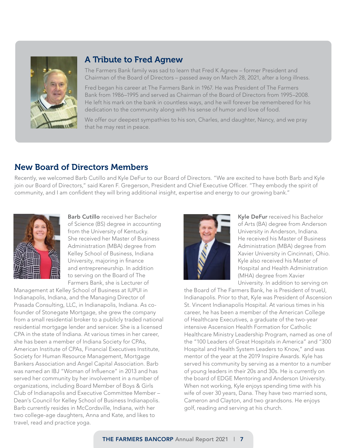![](_page_6_Picture_0.jpeg)

### A Tribute to Fred Agnew

The Farmers Bank family was sad to learn that Fred K Agnew – former President and Chairman of the Board of Directors – passed away on March 28, 2021, after a long illness.

Fred began his career at The Farmers Bank in 1967. He was President of The Farmers Bank from 1986–1995 and served as Chairman of the Board of Directors from 1995–2008. He left his mark on the bank in countless ways, and he will forever be remembered for his dedication to the community along with his sense of humor and love of food.

We offer our deepest sympathies to his son, Charles, and daughter, Nancy, and we pray that he may rest in peace.

## New Board of Directors Members

Recently, we welcomed Barb Cutillo and Kyle DeFur to our Board of Directors. "We are excited to have both Barb and Kyle join our Board of Directors," said Karen F. Gregerson, President and Chief Executive Officer. "They embody the spirit of community, and I am confident they will bring additional insight, expertise and energy to our growing bank."

![](_page_6_Picture_7.jpeg)

Barb Cutillo received her Bachelor of Science (BS) degree in accounting from the University of Kentucky. She received her Master of Business Administration (MBA) degree from Kelley School of Business, Indiana University, majoring in finance and entrepreneurship. In addition to serving on the Board of The Farmers Bank, she is Lecturer of

Management at Kelley School of Business at IUPUI in Indianapolis, Indiana, and the Managing Director of Prasada Consulting, LLC, in Indianapolis, Indiana. As cofounder of Stonegate Mortgage, she grew the company from a small residential broker to a publicly traded national residential mortgage lender and servicer. She is a licensed CPA in the state of Indiana. At various times in her career, she has been a member of Indiana Society for CPAs, American Institute of CPAs, Financial Executives Institute, Society for Human Resource Management, Mortgage Bankers Association and Angel Capital Association. Barb was named an IBJ "Woman of Influence" in 2013 and has served her community by her involvement in a number of organizations, including Board Member of Boys & Girls Club of Indianapolis and Executive Committee Member – Dean's Council for Kelley School of Business Indianapolis. Barb currently resides in McCordsville, Indiana, with her two college-age daughters, Anna and Kate, and likes to travel, read and practice yoga.

![](_page_6_Picture_10.jpeg)

Kyle DeFur received his Bachelor of Arts (BA) degree from Anderson University in Anderson, Indiana. He received his Master of Business Administration (MBA) degree from Xavier University in Cincinnati, Ohio. Kyle also received his Master of Hospital and Health Administration (MHA) degree from Xavier University. In addition to serving on

the Board of The Farmers Bank, he is President of trueU, Indianapolis. Prior to that, Kyle was President of Ascension St. Vincent Indianapolis Hospital. At various times in his career, he has been a member of the American College of Healthcare Executives, a graduate of the two-year intensive Ascension Health Formation for Catholic Healthcare Ministry Leadership Program, named as one of the "100 Leaders of Great Hospitals in America" and "300 Hospital and Health System Leaders to Know," and was mentor of the year at the 2019 Inspire Awards. Kyle has served his community by serving as a mentor to a number of young leaders in their 20s and 30s. He is currently on the board of EDGE Mentoring and Anderson University. When not working, Kyle enjoys spending time with his wife of over 30 years, Dana. They have two married sons, Cameron and Clayton, and two grandsons. He enjoys golf, reading and serving at his church.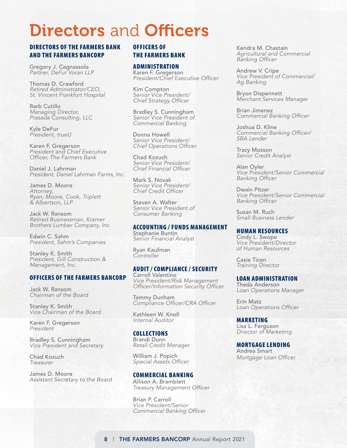# Directors and Officers

### DIRECTORS OF THE FARMERS BANK AND THE FARMERS BANCORP

Gregory J. Cagnassola *Partner, DeFur Voran LLP*

Thomas D. Crawford *Retired Administrator/CEO, St. Vincent Frankfort Hospital*

Barb Cutillo *Managing Director, Prasada Consulting, LLC*

Kyle DeFur *President, trueU*

Karen F. Gregerson *President and Chief Executive*  Officer, The Farmers Bank

Daniel J. Lahrman *President, Daniel Lahrman Farms, Inc.*

James D. Moore *Attorney,* Ryan, Moore, Cook, Triplett *& Albertson, LLP*

Jack W. Ransom Retired Businessman, Kramer Brothers Lumber Company, Inc.

Edwin C. Sahm *President, Sahm's Companies*

Stanley K. Smith *President, Gill Construction & Management, Inc.*

#### OFFICERS OF THE FARMERS BANCORP

Jack W. Ransom Chairman of the Board

Stanley K. Smith Vice Chairman of the Board

Karen F. Gregerson *President*

Bradley S. Cunningham *Vice President and Secretary*

Chad Kozuch Treasurer

James D. Moore Assistant Secretary to the Board

#### OFFICERS OF THE FARMERS BANK

ADMINISTRATION Karen F. Gregerson President/Chief Executive Officer

Kim Compton *Senior Vice President/* Chief Strategy Officer

Bradley S. Cunningham *Senior Vice President of* Commercial Banking

Donna Howell *Senior Vice President/* Chief Operations Officer

Chad Kozuch *Senior Vice President/* Chief Financial Officer

Mark S. Novak *Senior Vice President/* Chief Credit Officer

Steven A. Walter *Senior Vice President of*  Consumer Banking

#### ACCOUNTING / FUNDS MANAGEMENT

Stephanie Buntin *Senior Financial Analyst*

Ryan Kaufman *Controller*

#### AUDIT / COMPLIANCE / SECURITY

Carroll Valentino *Vice President/Risk Management*  Officer/Information Security Officer

Tammy Dunham Compliance Officer/CRA Officer

Kathleen W. Knoll *Internal Auditor*

#### **COLLECTIONS**

Brandi Dunn *Retail Credit Manager*

William J. Popich Special Assets Officer

#### COMMERCIAL BANKING

Allison A. Bramblett Treasury Management Officer

Brian P. Carroll *Vice President/Senior*  Commercial Banking Officer Kendra M. Chastain *Agricultural and Commercial*  Banking Officer

Andrew V. Cripe *Vice President of Commercial/* Ag Banking

Bryon Dispennett *Merchant Services Manager*

Brian Jimenez Commercial Banking Officer

Joshua D. Kline Commercial Banking Officer/ SBA Lender

Tracy Mosson *Senior Credit Analyst*

Alan Oyler *Vice President/Senior Commercial*  Banking Officer

Dwain Pitzer *Vice President/Senior Commercial*  Banking Officer

Susan M. Ruch Small Business Lender

#### HUMAN RESOURCES

Cindy L. Swope *Vice President/Director of Human Resources*

Casie Ticen Training Director

LOAN ADMINISTRATION Theda Anderson *Loan Operations Manager*

Erin Matz Loan Operations Officer

MARKETING Lisa L. Ferguson *Director of Marketing*

MORTGAGE LENDING Andrea Smart Mortgage Loan Officer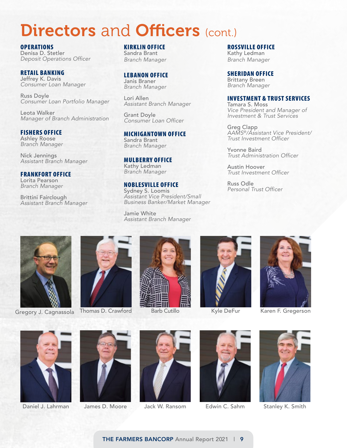## **Directors and Officers (cont.)**

OPERATIONS Denisa D. Stetler Deposit Operations Officer

RETAIL BANKING Jeffrey K. Davis *Consumer Loan Manager*

Russ Doyle *Consumer Loan Portfolio Manager*

Leota Walker Manager of Branch Administration

#### FISHERS OFFICE Ashley Roose

Branch Manager

Nick Jennings Assistant Branch Manager

### FRANKFORT OFFICE

Lorita Pearson Branch Manager

Brittini Fairclough Assistant Branch Manager KIRKLIN OFFICE Sandra Brant Branch Manager

#### LEBANON OFFICE Janis Braner

Branch Manager

Lori Allen Assistant Branch Manager

Grant Doyle Consumer Loan Officer

#### MICHIGANTOWN OFFICE Sandra Brant Branch Manager

MULBERRY OFFICE Kathy Ledman Branch Manager

#### NOBLESVILLE OFFICE

Sydney S. Loomis *Assistant Vice President/Small*  Business Banker/Market Manager

Jamie White Assistant Branch Manager

#### ROSSVILLE OFFICE Kathy Ledman Branch Manager

SHERIDAN OFFICE Brittany Breen Branch Manager

#### INVESTMENT & TRUST SERVICES

Tamara S. Moss *Vice President and Manager of*  Investment & Trust Services

Greg Clapp *AAMS®/Assistant Vice President/* Trust Investment Officer

Yvonne Baird Trust Administration Officer

Austin Hoover Trust Investment Officer

Russ Odle Personal Trust Officer

![](_page_8_Picture_29.jpeg)

Gregory J. Cagnassola Thomas D. Crawford

![](_page_8_Picture_31.jpeg)

![](_page_8_Picture_33.jpeg)

Barb Cutillo

![](_page_8_Picture_35.jpeg)

Kyle DeFur

![](_page_8_Picture_37.jpeg)

Karen F. Gregerson

![](_page_8_Picture_39.jpeg)

Daniel J. Lahrman

![](_page_8_Picture_41.jpeg)

James D. Moore

![](_page_8_Picture_43.jpeg)

![](_page_8_Picture_45.jpeg)

Jack W. Ransom Edwin C. Sahm Stanley K. Smith

![](_page_8_Picture_47.jpeg)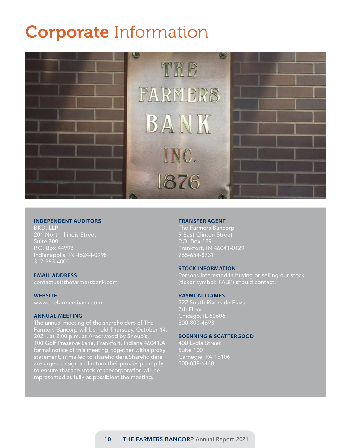# Corporate Information

![](_page_9_Picture_1.jpeg)

#### **INDEPENDENT AUDITORS**

317-383-4000 Indianapolis, IN 46244-0998 P.O. Box 44998 Suite 700 201 North Illinois Street BKD, LLP

#### **EMAIL ADDRESS**

contactus@thefarmersbank.com

**WEBSITE**

www.thefarmersbank.com

#### **ANNUAL MEETING**

represented as fully as possibleat the meeting. to ensure that the stock of thecorporation will be are urged to sign and return theirproxies promptly statement, is mailed to shareholders.Shareholders formal notice of this meeting, together witha proxy 100 Golf Preserve Lane, Frankfort, Indiana 46041.A 2021, at 2:00 p.m. at Arborwood by Shoup's, Farmers Bancorp will be held Thursday, October 14, The annual meeting of the shareholders of The

#### **TRANSFER AGENT**

The Farmers Bancorp 9 East Clinton Street P.O. Box 129 Frankfort, IN 46041-0129 765-654-8731

#### **STOCK INFORMATION**

Persons interested in buying or selling our stock (ticker symbol: FABP) should contact:

#### **RAYMOND JAMES**

222 South Riverside Plaza 7th Floor Chicago, IL 60606 800-800-4693

#### **BOENNING & SCATTERGOOD**

400 Lydia Street Suite 100 Carnegie, PA 15106 800-889-6440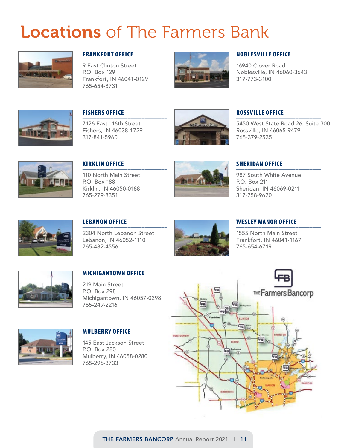# Locations of The Farmers Bank

![](_page_10_Picture_1.jpeg)

#### FRANKFORT OFFICE \_\_\_\_\_\_\_\_\_\_\_\_\_\_\_\_\_\_\_\_\_\_\_\_\_\_\_\_\_\_

9 East Clinton Street P.O. Box 129 Frankfort, IN 46041-0129 765-654-8731

![](_page_10_Picture_4.jpeg)

#### NOBLESVILLE OFFICE \_\_\_\_\_\_\_\_\_\_\_\_\_\_\_\_\_\_\_\_\_\_\_\_\_\_\_\_\_\_

16940 Clover Road Noblesville, IN 46060-3643 317-773-3100

![](_page_10_Picture_7.jpeg)

#### FISHERS OFFICE \_\_\_\_\_\_\_\_\_\_\_\_\_\_\_\_\_\_\_\_\_\_\_\_\_\_\_\_\_\_

7126 East 116th Street Fishers, IN 46038-1729 317-841-5960

![](_page_10_Picture_10.jpeg)

#### ROSSVILLE OFFICE \_\_\_\_\_\_\_\_\_\_\_\_\_\_\_\_\_\_\_\_\_\_\_\_\_\_\_\_\_\_

5450 West State Road 26, Suite 300 Rossville, IN 46065-9479 765-379-2535

![](_page_10_Picture_13.jpeg)

#### KIRKLIN OFFICE \_\_\_\_\_\_\_\_\_\_\_\_\_\_\_\_\_\_\_\_\_\_\_\_\_\_\_\_\_\_

110 North Main Street P.O. Box 188 Kirklin, IN 46050-0188 765-279-8351

![](_page_10_Picture_16.jpeg)

## SHERIDAN OFFICE<br>————————————————————

987 South White Avenue P.O. Box 211 Sheridan, IN 46069-0211 317-758-9620

![](_page_10_Picture_19.jpeg)

#### LEBANON OFFICE \_\_\_\_\_\_\_\_\_\_\_\_\_\_\_\_\_\_\_\_\_\_\_\_\_\_\_\_\_\_

2304 North Lebanon Street Lebanon, IN 46052-1110 765-482-4556

![](_page_10_Picture_22.jpeg)

## WESLEY MANOR OFFICE

1555 North Main Street Frankfort, IN 46041-1167 765-654-6719

![](_page_10_Picture_25.jpeg)

## MICHIGANTOWN OFFICE

219 Main Street P.O. Box 298 Michigantown, IN 46057-0298 765-249-2216

![](_page_10_Picture_28.jpeg)

#### MULBERRY OFFICE \_\_\_\_\_\_\_\_\_\_\_\_\_\_\_\_\_\_\_\_\_\_\_\_\_\_\_\_\_\_

145 East Jackson Street P.O. Box 280 Mulberry, IN 46058-0280 765-296-3733

![](_page_10_Figure_31.jpeg)